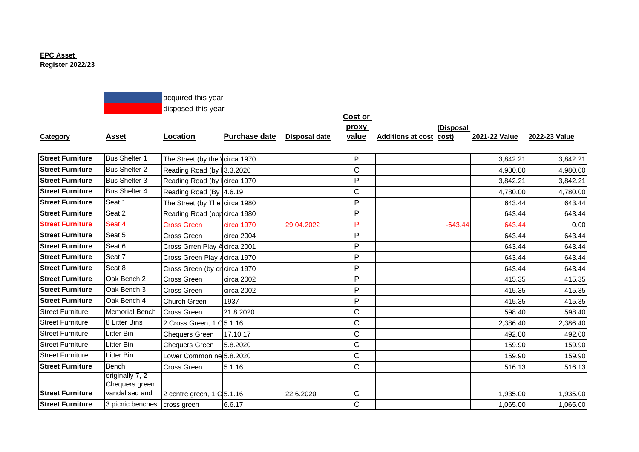## **EPC Asset Register 2022/23**



|                         |                       |                                      |                      |                      | <b>Cost or</b> |                                |           |               |               |
|-------------------------|-----------------------|--------------------------------------|----------------------|----------------------|----------------|--------------------------------|-----------|---------------|---------------|
|                         |                       |                                      |                      |                      | proxy          |                                | (Disposal |               |               |
| <b>Category</b>         | <b>Asset</b>          | Location                             | <b>Purchase date</b> | <b>Disposal date</b> | value          | <b>Additions at cost cost)</b> |           | 2021-22 Value | 2022-23 Value |
|                         |                       |                                      |                      |                      |                |                                |           |               |               |
| <b>Street Furniture</b> | <b>Bus Shelter 1</b>  | The Street (by the Vcirca 1970       |                      |                      | P              |                                |           | 3,842.21      | 3,842.21      |
| <b>Street Furniture</b> | <b>Bus Shelter 2</b>  | Reading Road (by 3.3.2020            |                      |                      | $\mathsf{C}$   |                                |           | 4,980.00      | 4,980.00      |
| <b>Street Furniture</b> | Bus Shelter 3         | Reading Road (by circa 1970          |                      |                      | P              |                                |           | 3,842.21      | 3,842.21      |
| <b>Street Furniture</b> | <b>Bus Shelter 4</b>  | Reading Road (By 4.6.19)             |                      |                      | $\mathsf{C}$   |                                |           | 4,780.00      | 4,780.00      |
| <b>Street Furniture</b> | Seat 1                | The Street (by The circa 1980        |                      |                      | P              |                                |           | 643.44        | 643.44        |
| <b>Street Furniture</b> | Seat 2                | Reading Road (oppcirca 1980          |                      |                      | P              |                                |           | 643.44        | 643.44        |
| <b>Street Furniture</b> | Seat 4                | <b>Cross Green</b>                   | circa 1970           | 29.04.2022           | P              |                                | $-643.44$ | 643.44        | 0.00          |
| <b>Street Furniture</b> | Seat 5                | Cross Green                          | circa 2004           |                      | P              |                                |           | 643.44        | 643.44        |
| <b>Street Furniture</b> | Seat 6                | Cross Grren Play Acirca 2001         |                      |                      | P              |                                |           | 643.44        | 643.44        |
| <b>Street Furniture</b> | Seat 7                | Cross Green Play Acirca 1970         |                      |                      | P              |                                |           | 643.44        | 643.44        |
| <b>Street Furniture</b> | Seat 8                | Cross Green (by cricirca 1970        |                      |                      | P              |                                |           | 643.44        | 643.44        |
| <b>Street Furniture</b> | Oak Bench 2           | Cross Green                          | circa 2002           |                      | P              |                                |           | 415.35        | 415.35        |
| <b>Street Furniture</b> | Oak Bench 3           | Cross Green                          | circa 2002           |                      | P              |                                |           | 415.35        | 415.35        |
| <b>Street Furniture</b> | Oak Bench 4           | Church Green                         | 1937                 |                      | P              |                                |           | 415.35        | 415.35        |
| <b>Street Furniture</b> | <b>Memorial Bench</b> | <b>Cross Green</b>                   | 21.8.2020            |                      | C              |                                |           | 598.40        | 598.40        |
| <b>Street Furniture</b> | 8 Litter Bins         | 2 Cross Green, 1 Q5.1.16             |                      |                      | $\mathsf{C}$   |                                |           | 2,386.40      | 2,386.40      |
| <b>Street Furniture</b> | Litter Bin            | <b>Chequers Green</b>                | 17.10.17             |                      | $\mathsf{C}$   |                                |           | 492.00        | 492.00        |
| <b>Street Furniture</b> | Litter Bin            | <b>Chequers Green</b>                | 5.8.2020             |                      | $\mathsf{C}$   |                                |           | 159.90        | 159.90        |
| <b>Street Furniture</b> | Litter Bin            | Lower Common ne 5.8.2020             |                      |                      | C              |                                |           | 159.90        | 159.90        |
| <b>Street Furniture</b> | Bench                 | Cross Green                          | 5.1.16               |                      | C              |                                |           | 516.13        | 516.13        |
|                         | originally 7, 2       |                                      |                      |                      |                |                                |           |               |               |
|                         | Chequers green        |                                      |                      |                      |                |                                |           |               |               |
| <b>Street Furniture</b> | vandalised and        | 2 centre green, $1 \text{ C}$ 5.1.16 |                      | 22.6.2020            | C              |                                |           | 1,935.00      | 1,935.00      |
| <b>Street Furniture</b> | 3 picnic benches      | cross green                          | 6.6.17               |                      | $\mathsf{C}$   |                                |           | 1,065.00      | 1,065.00      |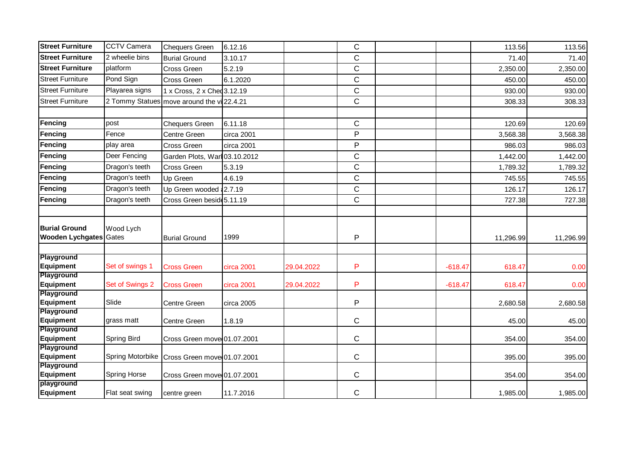| <b>Street Furniture</b>                               | <b>CCTV Camera</b>  | <b>Chequers Green</b>                      | 6.12.16    |            | $\mathsf{C}$   |           | 113.56    | 113.56    |
|-------------------------------------------------------|---------------------|--------------------------------------------|------------|------------|----------------|-----------|-----------|-----------|
| <b>Street Furniture</b>                               | 2 wheelie bins      | <b>Burial Ground</b>                       | 3.10.17    |            | $\mathsf{C}$   |           | 71.40     | 71.40     |
| <b>Street Furniture</b>                               | platform            | Cross Green                                | 5.2.19     |            | $\mathsf{C}$   |           | 2,350.00  | 2,350.00  |
| <b>Street Furniture</b>                               | Pond Sign           | Cross Green                                | 6.1.2020   |            | $\mathbf C$    |           | 450.00    | 450.00    |
| <b>Street Furniture</b>                               | Playarea signs      | 1 x Cross, 2 x Ched 3.12.19                |            |            | $\mathsf{C}$   |           | 930.00    | 930.00    |
| <b>Street Furniture</b>                               |                     | 2 Tommy Statues move around the vi 22.4.21 |            |            | $\mathsf{C}$   |           | 308.33    | 308.33    |
|                                                       |                     |                                            |            |            |                |           |           |           |
| Fencing                                               | post                | <b>Chequers Green</b>                      | 6.11.18    |            | $\mathsf{C}$   |           | 120.69    | 120.69    |
| Fencing                                               | Fence               | Centre Green                               | circa 2001 |            | P              |           | 3,568.38  | 3,568.38  |
| Fencing                                               | play area           | Cross Green                                | circa 2001 |            | $\overline{P}$ |           | 986.03    | 986.03    |
| <b>Fencing</b>                                        | Deer Fencing        | Garden Plots, Warl 03.10.2012              |            |            | $\mathsf{C}$   |           | 1,442.00  | 1,442.00  |
| Fencing                                               | Dragon's teeth      | <b>Cross Green</b>                         | 5.3.19     |            | $\mathsf{C}$   |           | 1,789.32  | 1,789.32  |
| Fencing                                               | Dragon's teeth      | Up Green                                   | 4.6.19     |            | $\mathsf{C}$   |           | 745.55    | 745.55    |
| <b>Fencing</b>                                        | Dragon's teeth      | Up Green wooded 2.7.19                     |            |            | $\mathsf{C}$   |           | 126.17    | 126.17    |
| <b>Fencing</b>                                        | Dragon's teeth      | Cross Green beside 5.11.19                 |            |            | $\mathsf{C}$   |           | 727.38    | 727.38    |
|                                                       |                     |                                            |            |            |                |           |           |           |
| <b>Burial Ground</b><br><b>Wooden Lychgates Gates</b> | Wood Lych           | <b>Burial Ground</b>                       | 1999       |            | P              |           | 11,296.99 | 11,296.99 |
| Playground<br>Equipment                               | Set of swings 1     |                                            |            | 29.04.2022 | P              |           | 618.47    |           |
| Playground                                            |                     | <b>Cross Green</b>                         | circa 2001 |            |                | $-618.47$ |           | 0.00      |
| Equipment                                             | Set of Swings 2     | <b>Cross Green</b>                         | circa 2001 | 29.04.2022 | P              | $-618.47$ | 618.47    | 0.00      |
| Playground                                            |                     |                                            |            |            |                |           |           |           |
| Equipment                                             | Slide               | Centre Green                               | circa 2005 |            | P              |           | 2,680.58  | 2,680.58  |
| <b>Playground</b><br>Equipment                        | grass matt          | <b>Centre Green</b>                        | 1.8.19     |            | $\mathsf{C}$   |           | 45.00     | 45.00     |
| Playground                                            |                     |                                            |            |            |                |           |           |           |
| Equipment                                             | Spring Bird         | Cross Green move 01.07.2001                |            |            | $\mathsf{C}$   |           | 354.00    | 354.00    |
| <b>Playground</b><br>Equipment                        | Spring Motorbike    | Cross Green move 01.07.2001                |            |            | $\mathbf C$    |           | 395.00    | 395.00    |
| Playground<br><b>Equipment</b>                        | <b>Spring Horse</b> | Cross Green move 01.07.2001                |            |            | $\mathsf{C}$   |           | 354.00    | 354.00    |
| playground<br>Equipment                               | Flat seat swing     | centre green                               | 11.7.2016  |            | $\mathsf{C}$   |           | 1,985.00  | 1,985.00  |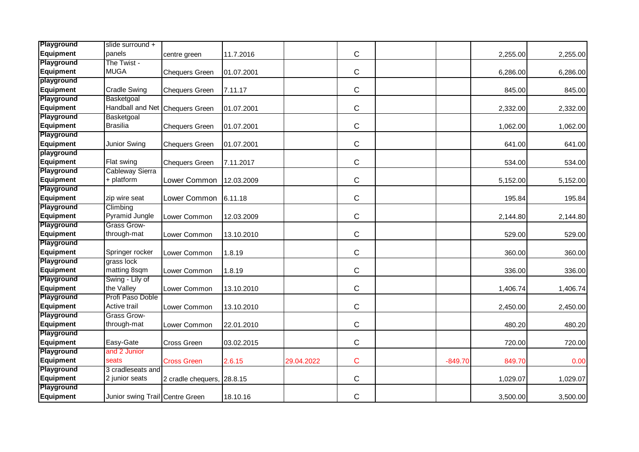| Playground        | slide surround +                |                            |            |            |              |           |          |          |
|-------------------|---------------------------------|----------------------------|------------|------------|--------------|-----------|----------|----------|
| Equipment         | panels                          | centre green               | 11.7.2016  |            | $\mathsf C$  |           | 2,255.00 | 2,255.00 |
| Playground        | The Twist -                     |                            |            |            |              |           |          |          |
| Equipment         | <b>MUGA</b>                     | <b>Chequers Green</b>      | 01.07.2001 |            | $\mathsf C$  |           | 6,286.00 | 6,286.00 |
| playground        |                                 |                            |            |            |              |           |          |          |
| Equipment         | <b>Cradle Swing</b>             | <b>Chequers Green</b>      | 7.11.17    |            | $\mathbf C$  |           | 845.00   | 845.00   |
| Playground        | Basketgoal                      |                            |            |            |              |           |          |          |
| <b>Equipment</b>  | Handball and Net Chequers Green |                            | 01.07.2001 |            | $\mathsf{C}$ |           | 2,332.00 | 2,332.00 |
| Playground        | Basketgoal                      |                            |            |            |              |           |          |          |
| <b>Equipment</b>  | <b>Brasilia</b>                 | <b>Chequers Green</b>      | 01.07.2001 |            | $\mathsf C$  |           | 1,062.00 | 1,062.00 |
| Playground        |                                 |                            |            |            |              |           |          |          |
| Equipment         | Junior Swing                    | <b>Chequers Green</b>      | 01.07.2001 |            | $\mathsf{C}$ |           | 641.00   | 641.00   |
| playground        |                                 |                            |            |            |              |           |          |          |
| Equipment         | Flat swing                      | <b>Chequers Green</b>      | 7.11.2017  |            | $\mathbf C$  |           | 534.00   | 534.00   |
| Playground        | <b>Cableway Sierra</b>          |                            |            |            |              |           |          |          |
| <b>Equipment</b>  | + platform                      | Lower Common               | 12.03.2009 |            | $\mathsf{C}$ |           | 5,152.00 | 5,152.00 |
| Playground        |                                 |                            |            |            |              |           |          |          |
| Equipment         | zip wire seat                   | Lower Common               | 6.11.18    |            | $\mathsf C$  |           | 195.84   | 195.84   |
| <b>Playground</b> | Climbing                        |                            |            |            |              |           |          |          |
| Equipment         | Pyramid Jungle                  | Lower Common               | 12.03.2009 |            | $\mathsf C$  |           | 2,144.80 | 2,144.80 |
| Playground        | Grass Grow-                     |                            |            |            |              |           |          |          |
| Equipment         | through-mat                     | Lower Common               | 13.10.2010 |            | $\mathsf{C}$ |           | 529.00   | 529.00   |
| <b>Playground</b> |                                 |                            |            |            |              |           |          |          |
| <b>Equipment</b>  | Springer rocker                 | Lower Common               | 1.8.19     |            | $\mathsf{C}$ |           | 360.00   | 360.00   |
| Playground        | grass lock                      |                            |            |            |              |           |          |          |
| <b>Equipment</b>  | matting 8sqm                    | Lower Common               | 1.8.19     |            | $\mathsf C$  |           | 336.00   | 336.00   |
| <b>Playground</b> | Swing - Lily of                 |                            |            |            |              |           |          |          |
| Equipment         | the Valley                      | Lower Common               | 13.10.2010 |            | $\mathsf C$  |           | 1,406.74 | 1,406.74 |
| Playground        | Profi Paso Doble                |                            |            |            |              |           |          |          |
| Equipment         | Active trail                    | Lower Common               | 13.10.2010 |            | $\mathsf{C}$ |           | 2,450.00 | 2,450.00 |
| Playground        | <b>Grass Grow-</b>              |                            |            |            |              |           |          |          |
| <b>Equipment</b>  | through-mat                     | Lower Common               | 22.01.2010 |            | $\mathsf C$  |           | 480.20   | 480.20   |
| <b>Playground</b> |                                 |                            |            |            |              |           |          |          |
| Equipment         | Easy-Gate                       | Cross Green                | 03.02.2015 |            | $\mathsf C$  |           | 720.00   | 720.00   |
| Playground        | and 2 Junior                    |                            |            |            |              |           |          |          |
| Equipment         | seats                           | <b>Cross Green</b>         | 2.6.15     | 29.04.2022 | $\mathbf C$  | $-849.70$ | 849.70   | 0.00     |
| Playground        | 3 cradleseats and               |                            |            |            |              |           |          |          |
| <b>Equipment</b>  | 2 junior seats                  | 2 cradle chequers, 28.8.15 |            |            | $\mathsf C$  |           | 1,029.07 | 1,029.07 |
| Playground        |                                 |                            |            |            |              |           |          |          |
| Equipment         | Junior swing Trail Centre Green |                            | 18.10.16   |            | C            |           | 3,500.00 | 3,500.00 |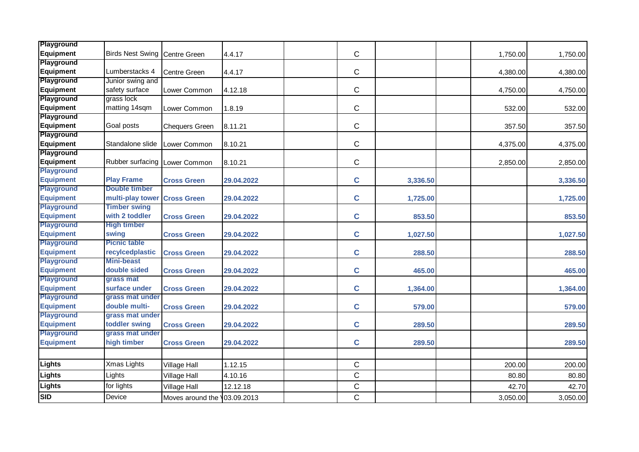| <b>Playground</b><br>Equipment        | Birds Nest Swing Centre Green        |                              | 4.4.17     | $\mathsf{C}$ |          | 1,750.00 | 1,750.00 |
|---------------------------------------|--------------------------------------|------------------------------|------------|--------------|----------|----------|----------|
| Playground                            |                                      |                              |            |              |          |          |          |
| <b>Equipment</b>                      | Lumberstacks 4                       | Centre Green                 | 4.4.17     | $\mathsf{C}$ |          | 4,380.00 | 4,380.00 |
| Playground                            | Junior swing and                     |                              |            |              |          |          |          |
| <b>Equipment</b>                      | safety surface                       | Lower Common                 | 4.12.18    | $\mathsf C$  |          | 4,750.00 | 4,750.00 |
| Playground                            | grass lock                           |                              |            |              |          |          |          |
| Equipment                             | matting 14sqm                        | Lower Common                 | 1.8.19     | $\mathbf C$  |          | 532.00   | 532.00   |
| Playground                            |                                      |                              |            |              |          |          |          |
| <b>Equipment</b>                      | Goal posts                           | <b>Chequers Green</b>        | 8.11.21    | $\mathbf C$  |          | 357.50   | 357.50   |
| Playground                            |                                      |                              |            |              |          |          |          |
| Equipment                             | Standalone slide                     | Lower Common                 | 8.10.21    | $\mathsf{C}$ |          | 4,375.00 | 4,375.00 |
| Playground                            |                                      |                              |            |              |          |          |          |
| Equipment                             | Rubber surfacing Lower Common        |                              | 8.10.21    | $\mathsf{C}$ |          | 2,850.00 | 2,850.00 |
| <b>Playground</b>                     |                                      |                              |            |              |          |          |          |
| <b>Equipment</b>                      | <b>Play Frame</b>                    | <b>Cross Green</b>           | 29.04.2022 | $\mathbf C$  | 3,336.50 |          | 3,336.50 |
| <b>Playground</b>                     | <b>Double timber</b>                 |                              |            |              |          |          |          |
| <b>Equipment</b>                      | multi-play tower Cross Green         |                              | 29.04.2022 | $\mathbf c$  | 1,725.00 |          | 1,725.00 |
| <b>Playground</b>                     | <b>Timber swing</b>                  |                              |            |              |          |          |          |
| <b>Equipment</b>                      | with 2 toddler                       | <b>Cross Green</b>           | 29.04.2022 | $\mathbf c$  | 853.50   |          | 853.50   |
| <b>Playground</b>                     | <b>High timber</b>                   |                              |            |              |          |          |          |
| <b>Equipment</b>                      | swing                                | <b>Cross Green</b>           | 29.04.2022 | $\mathbf C$  | 1,027.50 |          | 1,027.50 |
| <b>Playground</b>                     | <b>Picnic table</b>                  |                              |            |              |          |          |          |
| <b>Equipment</b><br><b>Playground</b> | recylcedplastic<br><b>Mini-beast</b> | <b>Cross Green</b>           | 29.04.2022 | $\mathbf c$  | 288.50   |          | 288.50   |
| <b>Equipment</b>                      | double sided                         |                              |            | $\mathbf c$  | 465.00   |          |          |
| <b>Playground</b>                     | grass mat                            | <b>Cross Green</b>           | 29.04.2022 |              |          |          | 465.00   |
| <b>Equipment</b>                      | surface under                        | <b>Cross Green</b>           | 29.04.2022 | $\mathbf c$  | 1,364.00 |          | 1,364.00 |
| <b>Playground</b>                     | grass mat under                      |                              |            |              |          |          |          |
| <b>Equipment</b>                      | double multi-                        | <b>Cross Green</b>           | 29.04.2022 | $\mathbf C$  | 579.00   |          | 579.00   |
| <b>Playground</b>                     | grass mat under                      |                              |            |              |          |          |          |
| <b>Equipment</b>                      | toddler swing                        | <b>Cross Green</b>           | 29.04.2022 | $\mathbf c$  | 289.50   |          | 289.50   |
| <b>Playground</b>                     | grass mat under                      |                              |            |              |          |          |          |
| <b>Equipment</b>                      | high timber                          | <b>Cross Green</b>           | 29.04.2022 | $\mathbf c$  | 289.50   |          | 289.50   |
|                                       |                                      |                              |            |              |          |          |          |
| Lights                                | Xmas Lights                          | Village Hall                 | 1.12.15    | $\mathsf{C}$ |          | 200.00   | 200.00   |
| <b>Lights</b>                         | Lights                               | <b>Village Hall</b>          | 4.10.16    | $\mathbf C$  |          | 80.80    | 80.80    |
| <b>Lights</b>                         | for lights                           | Village Hall                 | 12.12.18   | $\mathsf C$  |          | 42.70    | 42.70    |
| <b>SID</b>                            | Device                               | Moves around the 103.09.2013 |            | $\mathsf C$  |          | 3,050.00 | 3,050.00 |